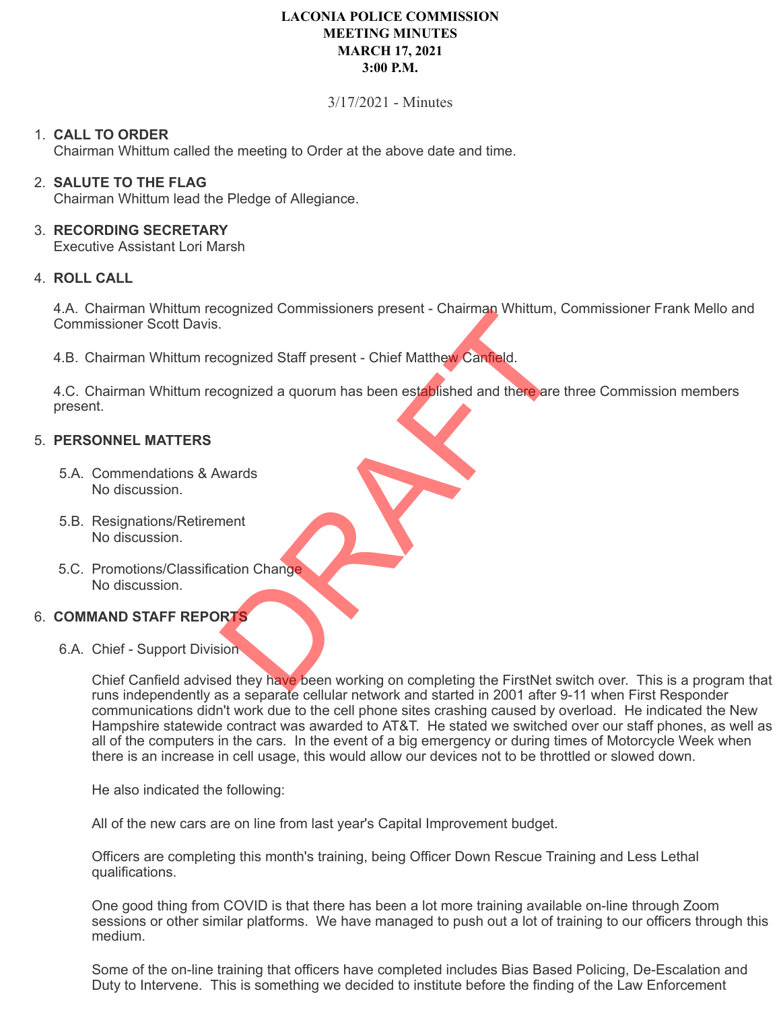# **LACONIA POLICE COMMISSION MEETING MINUTES MARCH 17, 2021 3:00 P.M.**

## 3/17/2021 - Minutes

## 1. **CALL TO ORDER**

Chairman Whittum called the meeting to Order at the above date and time.

## 2. **SALUTE TO THE FLAG**

Chairman Whittum lead the Pledge of Allegiance.

## 3. **RECORDING SECRETARY**

Executive Assistant Lori Marsh

## 4. **ROLL CALL**

4.A. Chairman Whittum recognized Commissioners present - Chairman Whittum, Commissioner Frank Mello and Commissioner Scott Davis.

4.B. Chairman Whittum recognized Staff present - Chief Matthew Canfield.

4.C. Chairman Whittum recognized a quorum has been established and there are three Commission members present. Experience Commissioners present - Charman windows, and<br>cognized Staff present - Chief Matthew Canfield.<br>cognized a quorum has been established and there are<br>wards<br>ment<br>ation Change

## 5. **PERSONNEL MATTERS**

- 5.A. Commendations & Awards No discussion.
- 5.B. Resignations/Retirement No discussion.
- 5.C. Promotions/Classification Change No discussion.

### 6. **COMMAND STAFF REPORTS**

6.A. Chief - Support Division

Chief Canfield advised they have been working on completing the FirstNet switch over. This is a program that runs independently as a separate cellular network and started in 2001 after 9-11 when First Responder communications didn't work due to the cell phone sites crashing caused by overload. He indicated the New Hampshire statewide contract was awarded to AT&T. He stated we switched over our staff phones, as well as all of the computers in the cars. In the event of a big emergency or during times of Motorcycle Week when there is an increase in cell usage, this would allow our devices not to be throttled or slowed down.

He also indicated the following:

All of the new cars are on line from last year's Capital Improvement budget.

Officers are completing this month's training, being Officer Down Rescue Training and Less Lethal qualifications.

One good thing from COVID is that there has been a lot more training available on-line through Zoom sessions or other similar platforms. We have managed to push out a lot of training to our officers through this medium.

Some of the on-line training that officers have completed includes Bias Based Policing, De-Escalation and Duty to Intervene. This is something we decided to institute before the finding of the Law Enforcement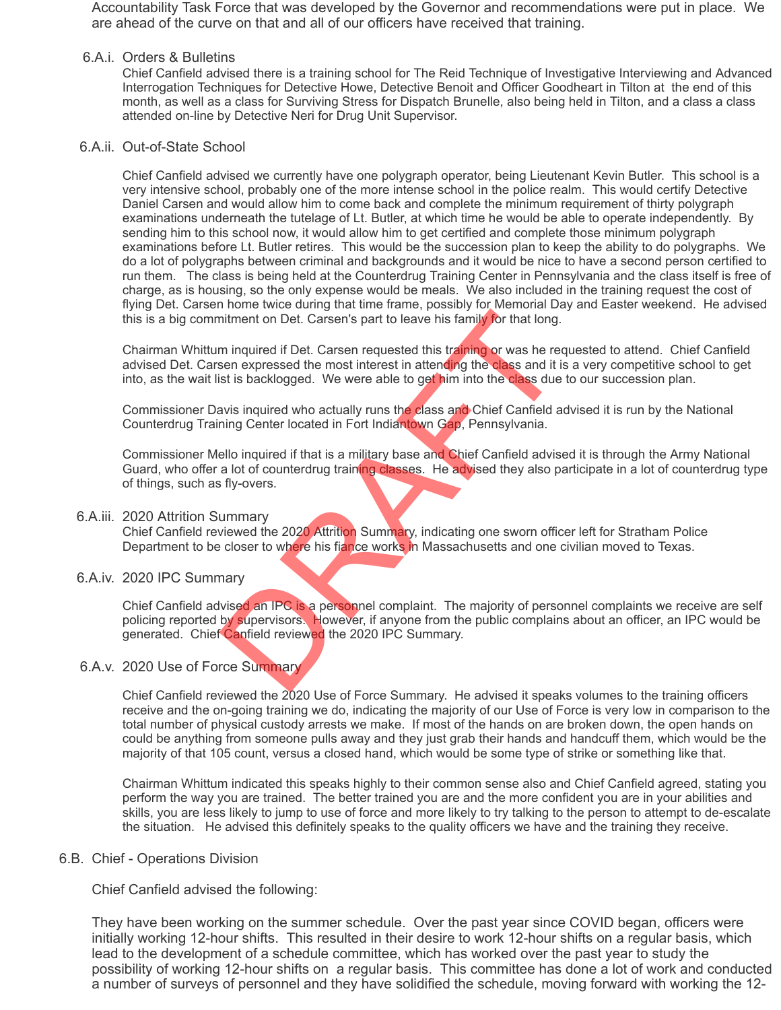Accountability Task Force that was developed by the Governor and recommendations were put in place. We are ahead of the curve on that and all of our officers have received that training.

#### 6.A.i. Orders & Bulletins

Chief Canfield advised there is a training school for The Reid Technique of Investigative Interviewing and Advanced Interrogation Techniques for Detective Howe, Detective Benoit and Officer Goodheart in Tilton at the end of this month, as well as a class for Surviving Stress for Dispatch Brunelle, also being held in Tilton, and a class a class attended on-line by Detective Neri for Drug Unit Supervisor.

### 6.A.ii. Out-of-State School

Chief Canfield advised we currently have one polygraph operator, being Lieutenant Kevin Butler. This school is a very intensive school, probably one of the more intense school in the police realm. This would certify Detective Daniel Carsen and would allow him to come back and complete the minimum requirement of thirty polygraph examinations underneath the tutelage of Lt. Butler, at which time he would be able to operate independently. By sending him to this school now, it would allow him to get certified and complete those minimum polygraph examinations before Lt. Butler retires. This would be the succession plan to keep the ability to do polygraphs. We do a lot of polygraphs between criminal and backgrounds and it would be nice to have a second person certified to run them. The class is being held at the Counterdrug Training Center in Pennsylvania and the class itself is free of charge, as is housing, so the only expense would be meals. We also included in the training request the cost of flying Det. Carsen home twice during that time frame, possibly for Memorial Day and Easter weekend. He advised this is a big commitment on Det. Carsen's part to leave his family for that long.

Chairman Whittum inquired if Det. Carsen requested this training or was he requested to attend. Chief Canfield advised Det. Carsen expressed the most interest in attending the class and it is a very competitive school to get into, as the wait list is backlogged. We were able to get him into the class due to our succession plan.

Commissioner Davis inquired who actually runs the class and Chief Canfield advised it is run by the National Counterdrug Training Center located in Fort Indiantown Gap, Pennsylvania.

Commissioner Mello inquired if that is a military base and Chief Canfield advised it is through the Army National Guard, who offer a lot of counterdrug training classes. He advised they also participate in a lot of counterdrug type of things, such as fly-overs.

#### 6.A.iii. 2020 Attrition Summary

Chief Canfield reviewed the 2020 Attrition Summary, indicating one sworn officer left for Stratham Police Department to be closer to where his fiance works in Massachusetts and one civilian moved to Texas.

### 6.A.iv. 2020 IPC Summary

Chief Canfield advised an IPC is a personnel complaint. The majority of personnel complaints we receive are self policing reported by supervisors. However, if anyone from the public complains about an officer, an IPC would be generated. Chief Canfield reviewed the 2020 IPC Summary. mitment on Det. Carsen's part to leave his family for that long.<br>
minquired if Det. Carsen's part to leave his family for that long.<br>
minquired if Det. Carsen requested this training or was he resen<br>
experience and the mos

### 6.A.v. 2020 Use of Force Summary

Chief Canfield reviewed the 2020 Use of Force Summary. He advised it speaks volumes to the training officers receive and the on-going training we do, indicating the majority of our Use of Force is very low in comparison to the total number of physical custody arrests we make. If most of the hands on are broken down, the open hands on could be anything from someone pulls away and they just grab their hands and handcuff them, which would be the majority of that 105 count, versus a closed hand, which would be some type of strike or something like that.

Chairman Whittum indicated this speaks highly to their common sense also and Chief Canfield agreed, stating you perform the way you are trained. The better trained you are and the more confident you are in your abilities and skills, you are less likely to jump to use of force and more likely to try talking to the person to attempt to de-escalate the situation. He advised this definitely speaks to the quality officers we have and the training they receive.

#### 6.B. Chief - Operations Division

Chief Canfield advised the following:

They have been working on the summer schedule. Over the past year since COVID began, officers were initially working 12-hour shifts. This resulted in their desire to work 12-hour shifts on a regular basis, which lead to the development of a schedule committee, which has worked over the past year to study the possibility of working 12-hour shifts on a regular basis. This committee has done a lot of work and conducted a number of surveys of personnel and they have solidified the schedule, moving forward with working the 12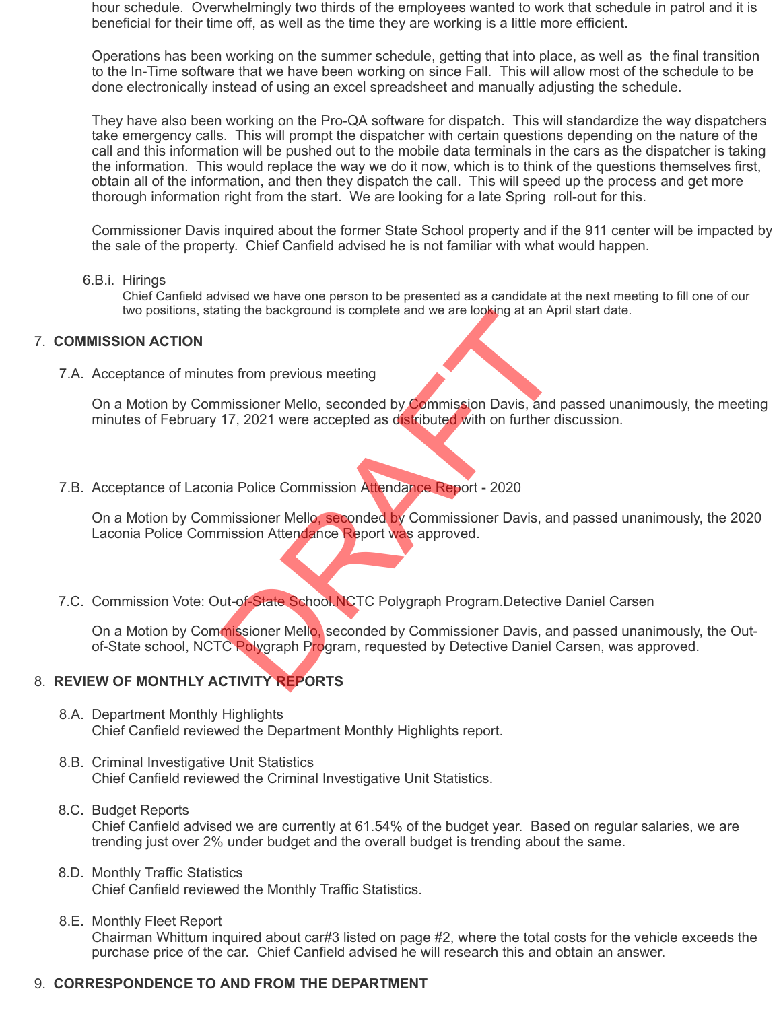hour schedule. Overwhelmingly two thirds of the employees wanted to work that schedule in patrol and it is beneficial for their time off, as well as the time they are working is a little more efficient.

Operations has been working on the summer schedule, getting that into place, as well as the final transition to the In-Time software that we have been working on since Fall. This will allow most of the schedule to be done electronically instead of using an excel spreadsheet and manually adjusting the schedule.

They have also been working on the Pro-QA software for dispatch. This will standardize the way dispatchers take emergency calls. This will prompt the dispatcher with certain questions depending on the nature of the call and this information will be pushed out to the mobile data terminals in the cars as the dispatcher is taking the information. This would replace the way we do it now, which is to think of the questions themselves first, obtain all of the information, and then they dispatch the call. This will speed up the process and get more thorough information right from the start. We are looking for a late Spring roll-out for this.

Commissioner Davis inquired about the former State School property and if the 911 center will be impacted by the sale of the property. Chief Canfield advised he is not familiar with what would happen.

6.B.i. Hirings

Chief Canfield advised we have one person to be presented as a candidate at the next meeting to fill one of our two positions, stating the background is complete and we are looking at an April start date.

### 7. **COMMISSION ACTION**

7.A. Acceptance of minutes from previous meeting

On a Motion by Commissioner Mello, seconded by Commission Davis, and passed unanimously, the meeting minutes of February 17, 2021 were accepted as distributed with on further discussion.

7.B. Acceptance of Laconia Police Commission Attendance Report - 2020

On a Motion by Commissioner Mello, seconded by Commissioner Davis, and passed unanimously, the 2020 Laconia Police Commission Attendance Report was approved. The Background is complete and we are looking at an Ap<br>
es from previous meeting<br>
IT, 2021 were accepted as distributed with on further d<br>
17, 2021 were accepted as distributed with on further d<br>
ia Police Commission Atten

7.C. Commission Vote: Out-of-State School.NCTC Polygraph Program.Detective Daniel Carsen

On a Motion by Commissioner Mello, seconded by Commissioner Davis, and passed unanimously, the Outof-State school, NCTC Polygraph Program, requested by Detective Daniel Carsen, was approved.

### 8. **REVIEW OF MONTHLY ACTIVITY REPORTS**

- 8.A. Department Monthly Highlights Chief Canfield reviewed the Department Monthly Highlights report.
- 8.B. Criminal Investigative Unit Statistics Chief Canfield reviewed the Criminal Investigative Unit Statistics.
- 8.C. Budget Reports Chief Canfield advised we are currently at 61.54% of the budget year. Based on regular salaries, we are trending just over 2% under budget and the overall budget is trending about the same.
- 8.D. Monthly Traffic Statistics Chief Canfield reviewed the Monthly Traffic Statistics.
- 8.E. Monthly Fleet Report Chairman Whittum inquired about car#3 listed on page #2, where the total costs for the vehicle exceeds the purchase price of the car. Chief Canfield advised he will research this and obtain an answer.

### 9. **CORRESPONDENCE TO AND FROM THE DEPARTMENT**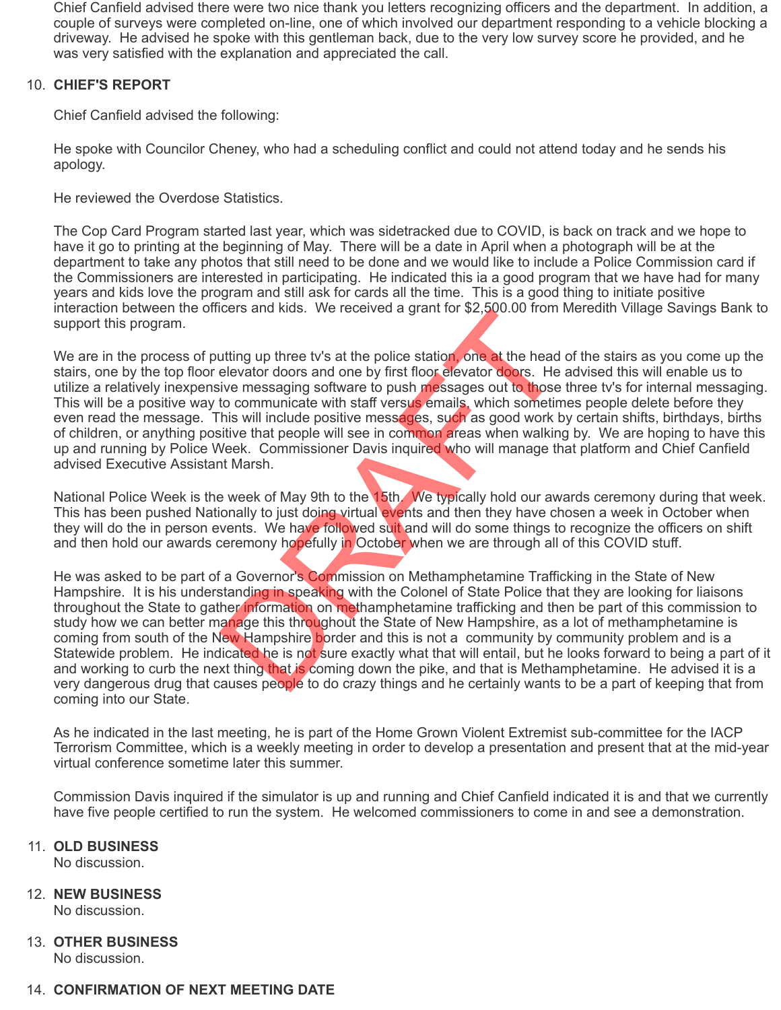Chief Canfield advised there were two nice thank you letters recognizing officers and the department. In addition, a couple of surveys were completed on-line, one of which involved our department responding to a vehicle blocking a driveway. He advised he spoke with this gentleman back, due to the very low survey score he provided, and he was very satisfied with the explanation and appreciated the call.

## 10. **CHIEF'S REPORT**

Chief Canfield advised the following:

He spoke with Councilor Cheney, who had a scheduling conflict and could not attend today and he sends his apology.

He reviewed the Overdose Statistics.

The Cop Card Program started last year, which was sidetracked due to COVID, is back on track and we hope to have it go to printing at the beginning of May. There will be a date in April when a photograph will be at the department to take any photos that still need to be done and we would like to include a Police Commission card if the Commissioners are interested in participating. He indicated this ia a good program that we have had for many years and kids love the program and still ask for cards all the time. This is a good thing to initiate positive interaction between the officers and kids. We received a grant for \$2,500.00 from Meredith Village Savings Bank to support this program.

We are in the process of putting up three tv's at the police station, one at the head of the stairs as you come up the stairs, one by the top floor elevator doors and one by first floor elevator doors. He advised this will enable us to utilize a relatively inexpensive messaging software to push messages out to those three tv's for internal messaging. This will be a positive way to communicate with staff versus emails, which sometimes people delete before they even read the message. This will include positive messages, such as good work by certain shifts, birthdays, births of children, or anything positive that people will see in common areas when walking by. We are hoping to have this up and running by Police Week. Commissioner Davis inquired who will manage that platform and Chief Canfield advised Executive Assistant Marsh. teris and Mas. We received a grant for \$2,500.00 nomet<br>thing up three tv's at the police station, one at the head<br>elevator doors and one by first floor elevator doors. He<br>ive messaging software to push messages out to thos

National Police Week is the week of May 9th to the 15th. We typically hold our awards ceremony during that week. This has been pushed Nationally to just doing virtual events and then they have chosen a week in October when they will do the in person events. We have followed suit and will do some things to recognize the officers on shift and then hold our awards ceremony hopefully in October when we are through all of this COVID stuff.

He was asked to be part of a Governor's Commission on Methamphetamine Trafficking in the State of New Hampshire. It is his understanding in speaking with the Colonel of State Police that they are looking for liaisons throughout the State to gather information on methamphetamine trafficking and then be part of this commission to study how we can better manage this throughout the State of New Hampshire, as a lot of methamphetamine is coming from south of the New Hampshire border and this is not a community by community problem and is a Statewide problem. He indicated he is not sure exactly what that will entail, but he looks forward to being a part of it and working to curb the next thing that is coming down the pike, and that is Methamphetamine. He advised it is a very dangerous drug that causes people to do crazy things and he certainly wants to be a part of keeping that from coming into our State.

As he indicated in the last meeting, he is part of the Home Grown Violent Extremist sub-committee for the IACP Terrorism Committee, which is a weekly meeting in order to develop a presentation and present that at the mid-year virtual conference sometime later this summer.

Commission Davis inquired if the simulator is up and running and Chief Canfield indicated it is and that we currently have five people certified to run the system. He welcomed commissioners to come in and see a demonstration.

### 11. **OLD BUSINESS**

No discussion.

# 12. **NEW BUSINESS**

No discussion.

### 13. **OTHER BUSINESS** No discussion.

## 14. **CONFIRMATION OF NEXT MEETING DATE**